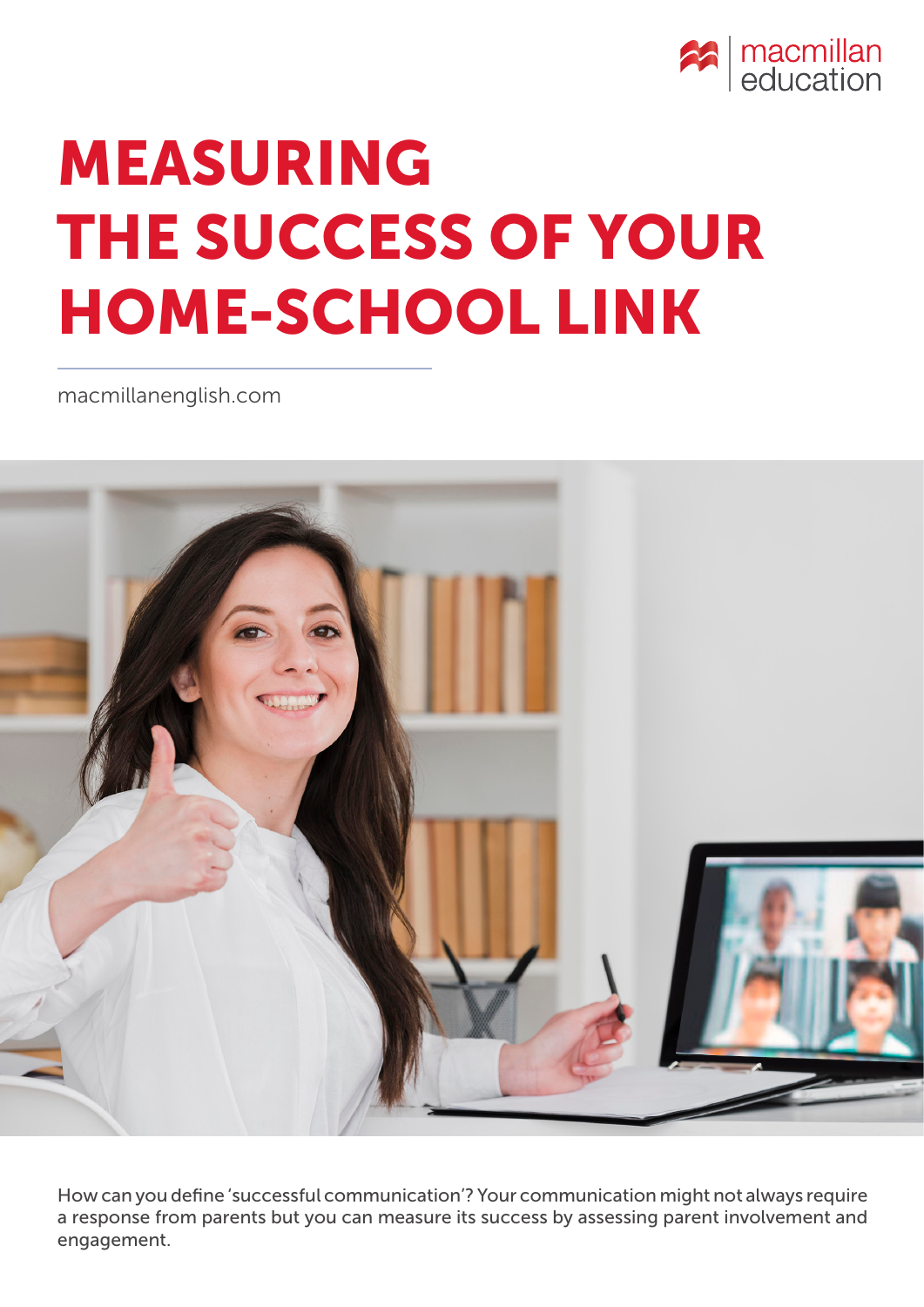

# MEASURING THE SUCCESS OF YOUR HOME-SCHOOL LINK

[macmillanenglish.com](www.macmillanenglish.com)



How can you define 'successful communication'? Your communication might not always require a response from parents but you can measure its success by assessing parent involvement and engagement.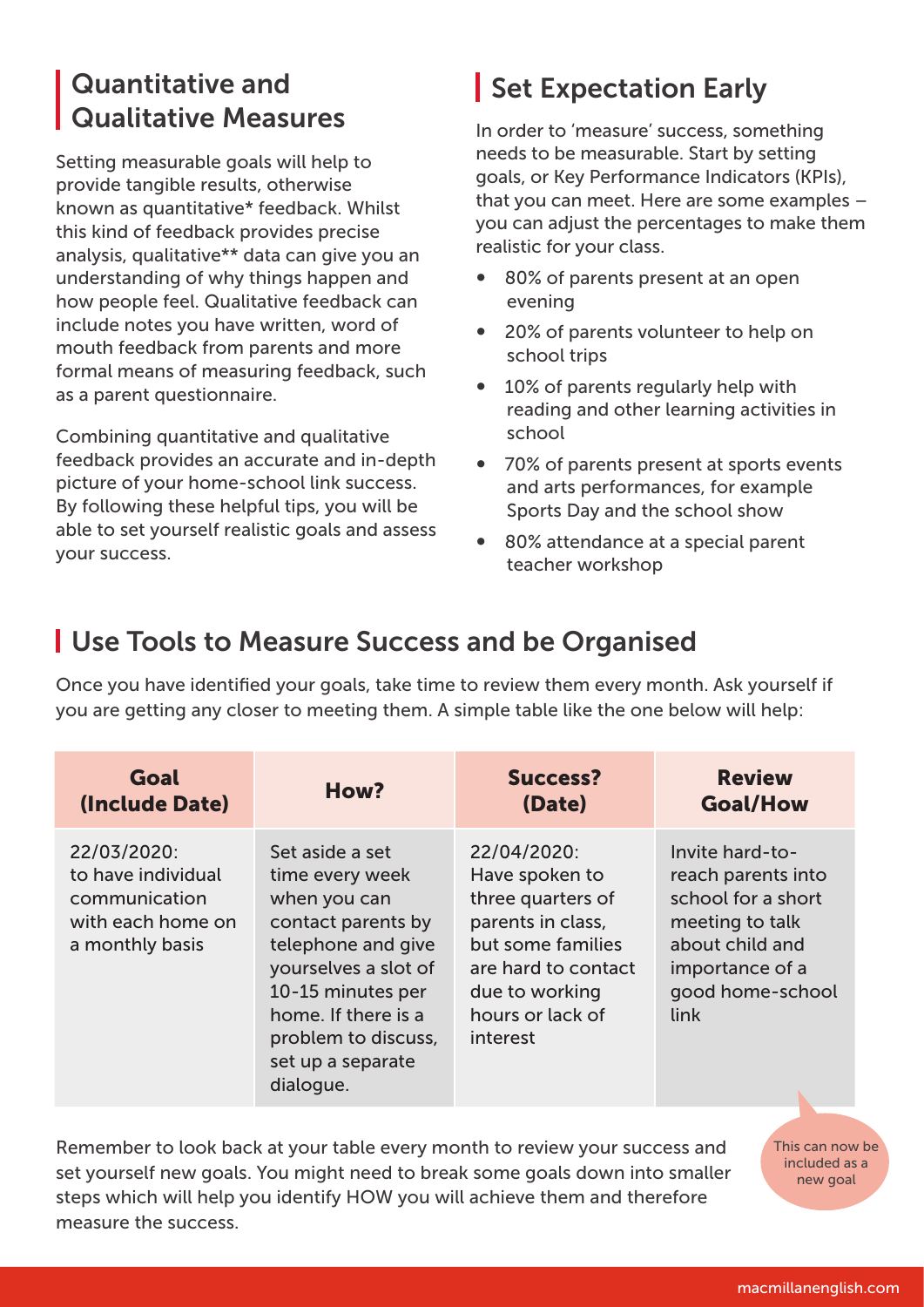#### Quantitative and Qualitative Measures

Setting measurable goals will help to provide tangible results, otherwise known as quantitative\* feedback. Whilst this kind of feedback provides precise analysis, qualitative\*\* data can give you an understanding of why things happen and how people feel. Qualitative feedback can include notes you have written, word of mouth feedback from parents and more formal means of measuring feedback, such as a parent questionnaire.

Combining quantitative and qualitative feedback provides an accurate and in-depth picture of your home-school link success. By following these helpful tips, you will be able to set yourself realistic goals and assess your success.

### Set Expectation Early

In order to 'measure' success, something needs to be measurable. Start by setting goals, or Key Performance Indicators (KPIs), that you can meet. Here are some examples – you can adjust the percentages to make them realistic for your class.

- 80% of parents present at an open evening
- 20% of parents volunteer to help on school trips
- 10% of parents regularly help with reading and other learning activities in school
- 70% of parents present at sports events and arts performances, for example Sports Day and the school show
- 80% attendance at a special parent teacher workshop

#### Use Tools to Measure Success and be Organised

Once you have identified your goals, take time to review them every month. Ask yourself if you are getting any closer to meeting them. A simple table like the one below will help:

| Goal                                                                                       | How?                                                                                                                                                                                                                        | <b>Success?</b>                                                                                                                                                       | <b>Review</b>                                                                                                                                    |
|--------------------------------------------------------------------------------------------|-----------------------------------------------------------------------------------------------------------------------------------------------------------------------------------------------------------------------------|-----------------------------------------------------------------------------------------------------------------------------------------------------------------------|--------------------------------------------------------------------------------------------------------------------------------------------------|
| (Include Date)                                                                             |                                                                                                                                                                                                                             | (Date)                                                                                                                                                                | <b>Goal/How</b>                                                                                                                                  |
| 22/03/2020:<br>to have individual<br>communication<br>with each home on<br>a monthly basis | Set aside a set<br>time every week<br>when you can<br>contact parents by<br>telephone and give<br>yourselves a slot of<br>10-15 minutes per<br>home. If there is a<br>problem to discuss,<br>set up a separate<br>dialogue. | 22/04/2020:<br>Have spoken to<br>three quarters of<br>parents in class,<br>but some families<br>are hard to contact<br>due to working<br>hours or lack of<br>interest | Invite hard-to-<br>reach parents into<br>school for a short<br>meeting to talk<br>about child and<br>importance of a<br>good home-school<br>link |

Remember to look back at your table every month to review your success and set yourself new goals. You might need to break some goals down into smaller steps which will help you identify HOW you will achieve them and therefore measure the success.

This can now be included as a new goal